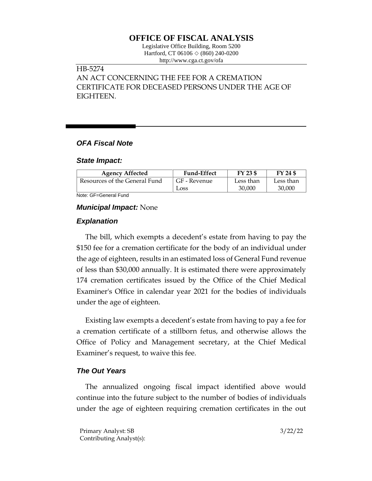## **OFFICE OF FISCAL ANALYSIS**

Legislative Office Building, Room 5200 Hartford, CT 06106  $\Diamond$  (860) 240-0200 http://www.cga.ct.gov/ofa

# HB-5274

AN ACT CONCERNING THE FEE FOR A CREMATION CERTIFICATE FOR DECEASED PERSONS UNDER THE AGE OF EIGHTEEN.

## *OFA Fiscal Note*

#### *State Impact:*

| <b>Agency Affected</b>        | <b>Fund-Effect</b> | FY 23 \$  | FY 24 \$  |
|-------------------------------|--------------------|-----------|-----------|
| Resources of the General Fund | GF - Revenue       | Less than | Less than |
|                               | Loss               | 30,000    | 30,000    |

Note: GF=General Fund

#### *Municipal Impact:* None

### *Explanation*

The bill, which exempts a decedent's estate from having to pay the \$150 fee for a cremation certificate for the body of an individual under the age of eighteen, results in an estimated loss of General Fund revenue of less than \$30,000 annually. It is estimated there were approximately 174 cremation certificates issued by the Office of the Chief Medical Examiner's Office in calendar year 2021 for the bodies of individuals under the age of eighteen.

Existing law exempts a decedent's estate from having to pay a fee for a cremation certificate of a stillborn fetus, and otherwise allows the Office of Policy and Management secretary, at the Chief Medical Examiner's request, to waive this fee.

## *The Out Years*

The annualized ongoing fiscal impact identified above would continue into the future subject to the number of bodies of individuals under the age of eighteen requiring cremation certificates in the out